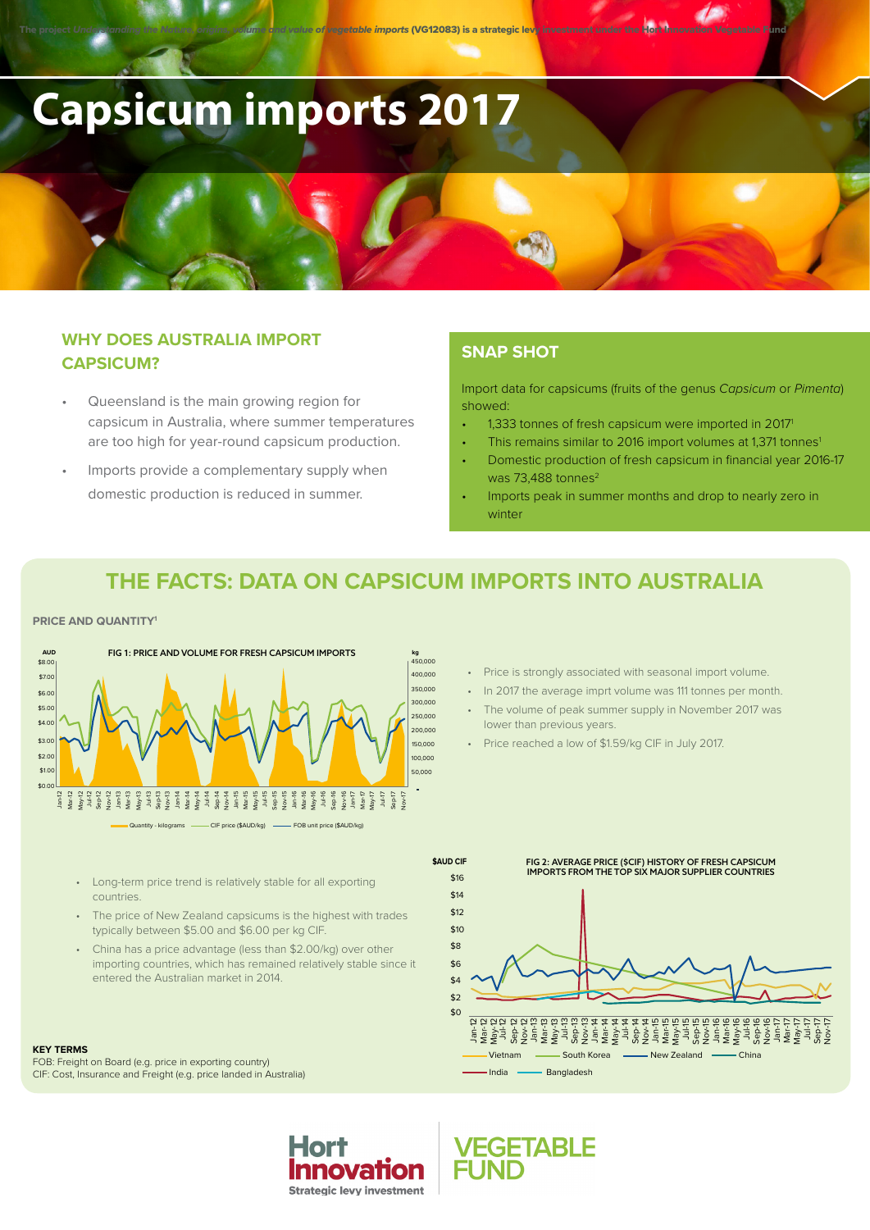# **Capsicum imports 2017**

## **WHY DOES AUSTRALIA IMPORT CAPSICUM?**

- Queensland is the main growing region for capsicum in Australia, where summer temperatures are too high for year-round capsicum production.
- Imports provide a complementary supply when domestic production is reduced in summer.

## **SNAP SHOT**

Import data for capsicums (fruits of the genus *Capsicum* or *Pimenta*) showed:

- 1,333 tonnes of fresh capsicum were imported in 20171
- This remains similar to 2016 import volumes at 1,371 tonnes<sup>1</sup>
- Domestic production of fresh capsicum in financial year 2016-17 was 73,488 tonnes<sup>2</sup>
- Imports peak in summer months and drop to nearly zero in winter

# **THE FACTS: DATA ON CAPSICUM IMPORTS INTO AUSTRALIA**

#### **PRICE AND QUANTITY1**

countries.



- Long-term price trend is relatively stable for all exporting
- The price of New Zealand capsicums is the highest with trades typically between \$5.00 and \$6.00 per kg CIF.
- China has a price advantage (less than \$2.00/kg) over other importing countries, which has remained relatively stable since it entered the Australian market in 2014.

Horl

**Innovation Strategic levy investment** 

#### **KEY TERMS**

FOB: Freight on Board (e.g. price in exporting country) CIF: Cost, Insurance and Freight (e.g. price landed in Australia)

- Price is strongly associated with seasonal import volume.
- In 2017 the average imprt volume was 111 tonnes per month.
- The volume of peak summer supply in November 2017 was lower than previous years.
- Price reached a low of \$1.59/kg CIF in July 2017.